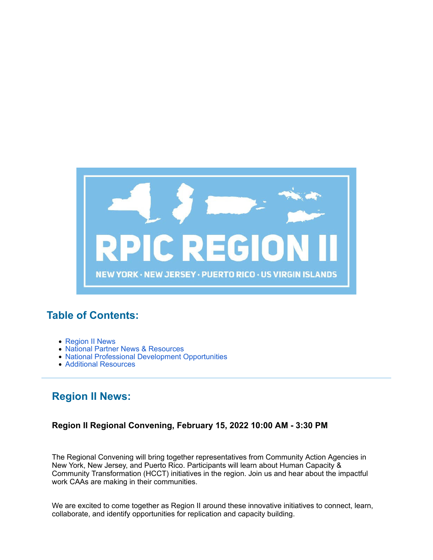

# **Table of Contents:**

- Region II News
- National Partner News & Resources
- National Professional Development Opportunities
- Additional Resources

# **Region II News:**

## **Region II Regional Convening, February 15, 2022 10:00 AM - 3:30 PM**

The Regional Convening will bring together representatives from Community Action Agencies in New York, New Jersey, and Puerto Rico. Participants will learn about Human Capacity & Community Transformation (HCCT) initiatives in the region. Join us and hear about the impactful work CAAs are making in their communities.

We are excited to come together as Region II around these innovative initiatives to connect, learn, collaborate, and identify opportunities for replication and capacity building.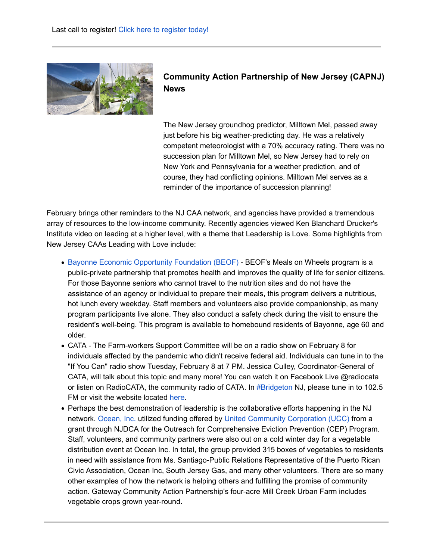

## **Community Action Partnership of New Jersey (CAPNJ) News**

The New Jersey groundhog predictor, Milltown Mel, passed away just before his big weather-predicting day. He was a relatively competent meteorologist with a 70% accuracy rating. There was no succession plan for Milltown Mel, so New Jersey had to rely on New York and Pennsylvania for a weather prediction, and of course, they had conflicting opinions. Milltown Mel serves as a reminder of the importance of succession planning!

February brings other reminders to the NJ CAA network, and agencies have provided a tremendous array of resources to the low-income community. Recently agencies viewed Ken Blanchard Drucker's Institute video on leading at a higher level, with a theme that Leadership is Love. Some highlights from New Jersey CAAs Leading with Love include:

- Bayonne Economic Opportunity Foundation (BEOF) BEOF's Meals on Wheels program is a public-private partnership that promotes health and improves the quality of life for senior citizens. For those Bayonne seniors who cannot travel to the nutrition sites and do not have the assistance of an agency or individual to prepare their meals, this program delivers a nutritious, hot lunch every weekday. Staff members and volunteers also provide companionship, as many program participants live alone. They also conduct a safety check during the visit to ensure the resident's well-being. This program is available to homebound residents of Bayonne, age 60 and older.
- CATA The Farm-workers Support Committee will be on a radio show on February 8 for individuals affected by the pandemic who didn't receive federal aid. Individuals can tune in to the "If You Can" radio show Tuesday, February 8 at 7 PM. Jessica Culley, Coordinator-General of CATA, will talk about this topic and many more! You can watch it on Facebook Live @radiocata or listen on RadioCATA, the community radio of CATA. In #Bridgeton NJ, please tune in to 102.5 FM or visit the website located here.
- Perhaps the best demonstration of leadership is the collaborative efforts happening in the NJ network. Ocean, Inc. utilized funding offered by United Community Corporation (UCC) from a grant through NJDCA for the Outreach for Comprehensive Eviction Prevention (CEP) Program. Staff, volunteers, and community partners were also out on a cold winter day for a vegetable distribution event at Ocean Inc. In total, the group provided 315 boxes of vegetables to residents in need with assistance from Ms. Santiago-Public Relations Representative of the Puerto Rican Civic Association, Ocean Inc, South Jersey Gas, and many other volunteers. There are so many other examples of how the network is helping others and fulfilling the promise of community action. Gateway Community Action Partnership's four-acre Mill Creek Urban Farm includes vegetable crops grown year-round.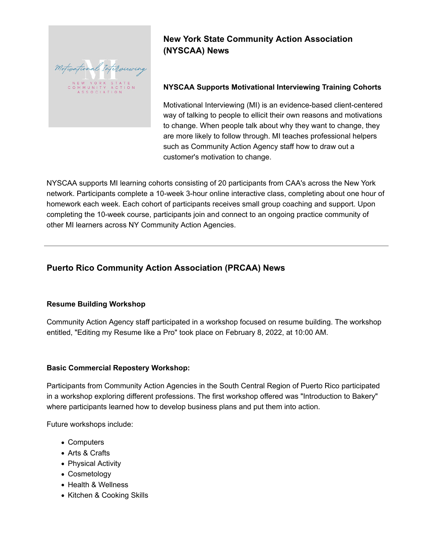

# **New York State Community Action Association (NYSCAA) News**

### **NYSCAA Supports Motivational Interviewing Training Cohorts**

Motivational Interviewing (MI) is an evidence-based client-centered way of talking to people to ellicit their own reasons and motivations to change. When people talk about why they want to change, they are more likely to follow through. MI teaches professional helpers such as Community Action Agency staff how to draw out a customer's motivation to change.

NYSCAA supports MI learning cohorts consisting of 20 participants from CAA's across the New York network. Participants complete a 10-week 3-hour online interactive class, completing about one hour of homework each week. Each cohort of participants receives small group coaching and support. Upon completing the 10-week course, participants join and connect to an ongoing practice community of other MI learners across NY Community Action Agencies.

## **Puerto Rico Community Action Association (PRCAA) News**

#### **Resume Building Workshop**

Community Action Agency staff participated in a workshop focused on resume building. The workshop entitled, "Editing my Resume like a Pro" took place on February 8, 2022, at 10:00 AM.

#### **Basic Commercial Repostery Workshop:**

Participants from Community Action Agencies in the South Central Region of Puerto Rico participated in a workshop exploring different professions. The first workshop offered was "Introduction to Bakery" where participants learned how to develop business plans and put them into action.

Future workshops include:

- Computers
- Arts & Crafts
- Physical Activity
- Cosmetology
- Health & Wellness
- Kitchen & Cooking Skills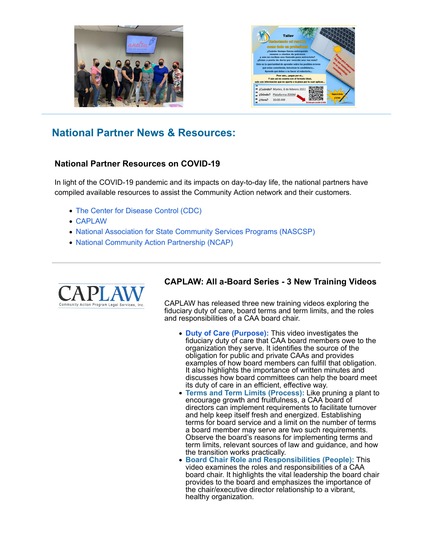



# **National Partner News & Resources:**

### **National Partner Resources on COVID-19**

In light of the COVID-19 pandemic and its impacts on day-to-day life, the national partners have compiled available resources to assist the Community Action network and their customers.

- The Center for Disease Control (CDC)
- CAPLAW
- National Association for State Community Services Programs (NASCSP)
- National Community Action Partnership (NCAP)



#### **CAPLAW: All a-Board Series - 3 New Training Videos**

CAPLAW has released three new training videos exploring the fiduciary duty of care, board terms and term limits, and the roles and responsibilities of a CAA board chair.

- **Duty of Care (Purpose):** This video investigates the fiduciary duty of care that CAA board members owe to the organization they serve. It identifies the source of the obligation for public and private CAAs and provides examples of how board members can fulfill that obligation. It also highlights the importance of written minutes and discusses how board committees can help the board meet its duty of care in an efficient, effective way.
- **Terms and Term Limits (Process):** Like pruning a plant to encourage growth and fruitfulness, a CAA board of directors can implement requirements to facilitate turnover and help keep itself fresh and energized. Establishing terms for board service and a limit on the number of terms a board member may serve are two such requirements. Observe the board's reasons for implementing terms and term limits, relevant sources of law and guidance, and how the transition works practically.
- **Board Chair Role and Responsibilities (People):** This video examines the roles and responsibilities of a CAA board chair. It highlights the vital leadership the board chair provides to the board and emphasizes the importance of the chair/executive director relationship to a vibrant, healthy organization.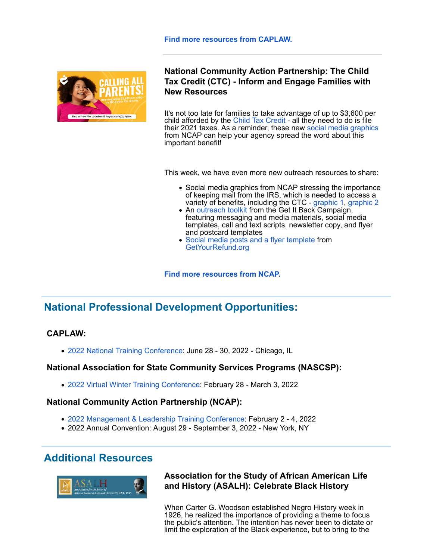

### **National Community Action Partnership: The Child Tax Credit (CTC) - Inform and Engage Families with New Resources**

It's not too late for families to take advantage of up to \$3,600 per child afforded by the Child Tax Credit - all they need to do is file their 2021 taxes. As a reminder, these new social media graphics from NCAP can help your agency spread the word about this important benefit!

This week, we have even more new outreach resources to share:

- Social media graphics from NCAP stressing the importance of keeping mail from the IRS, which is needed to access a variety of benefits, including the CTC - graphic 1, graphic 2
- An outreach toolkit from the Get It Back Campaign, featuring messaging and media materials, social media templates, call and text scripts, newsletter copy, and flyer and postcard templates
- Social media posts and a flyer template from GetYourRefund.org

**Find more resources from NCAP.**

# **National Professional Development Opportunities:**

### **CAPLAW:**

2022 National Training Conference: June 28 - 30, 2022 - Chicago, IL

#### **National Association for State Community Services Programs (NASCSP):**

2022 Virtual Winter Training Conference: February 28 - March 3, 2022

#### **National Community Action Partnership (NCAP):**

- 2022 Management & Leadership Training Conference: February 2 4, 2022
- 2022 Annual Convention: August 29 September 3, 2022 New York, NY

# **Additional Resources**



### **Association for the Study of African American Life and History (ASALH): Celebrate Black History**

When Carter G. Woodson established Negro History week in 1926, he realized the importance of providing a theme to focus the public's attention. The intention has never been to dictate or limit the exploration of the Black experience, but to bring to the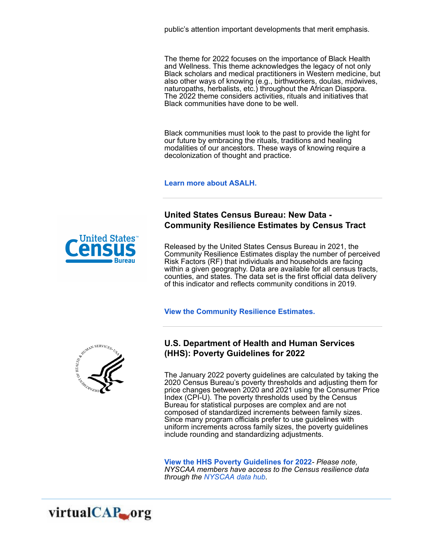public's attention important developments that merit emphasis.

The theme for 2022 focuses on the importance of Black Health and Wellness. This theme acknowledges the legacy of not only Black scholars and medical practitioners in Western medicine, but also other ways of knowing (e.g., birthworkers, doulas, midwives, naturopaths, herbalists, etc.) throughout the African Diaspora. The 2022 theme considers activities, rituals and initiatives that Black communities have done to be well.

Black communities must look to the past to provide the light for our future by embracing the rituals, traditions and healing modalities of our ancestors. These ways of knowing require a decolonization of thought and practice.

**Learn more about ASALH.**

### **United States Census Bureau: New Data - Community Resilience Estimates by Census Tract**

Released by the United States Census Bureau in 2021, the Community Resilience Estimates display the number of perceived Risk Factors (RF) that individuals and households are facing within a given geography. Data are available for all census tracts, counties, and states. The data set is the first official data delivery of this indicator and reflects community conditions in 2019.

**View the Community Resilience Estimates.**



### **U.S. Department of Health and Human Services (HHS): Poverty Guidelines for 2022**

The January 2022 poverty guidelines are calculated by taking the 2020 Census Bureau's poverty thresholds and adjusting them for price changes between 2020 and 2021 using the Consumer Price Index (CPI-U). The poverty thresholds used by the Census Bureau for statistical purposes are complex and are not composed of standardized increments between family sizes. Since many program officials prefer to use guidelines with uniform increments across family sizes, the poverty guidelines include rounding and standardizing adjustments.

**View the HHS Poverty Guidelines for 2022***- Please note, NYSCAA members have access to the Census resilience data through the NYSCAA data hub.*